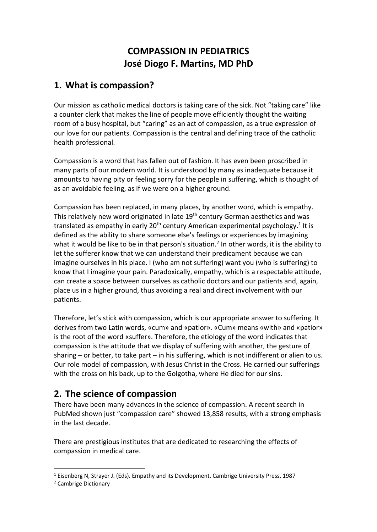# **COMPASSION IN PEDIATRICS José Diogo F. Martins, MD PhD**

# **1. What is compassion?**

Our mission as catholic medical doctors is taking care of the sick. Not "taking care" like a counter clerk that makes the line of people move efficiently thought the waiting room of a busy hospital, but "caring" as an act of compassion, as a true expression of our love for our patients. Compassion is the central and defining trace of the catholic health professional.

Compassion is a word that has fallen out of fashion. It has even been proscribed in many parts of our modern world. It is understood by many as inadequate because it amounts to having pity or feeling sorry for the people in suffering, which is thought of as an avoidable feeling, as if we were on a higher ground.

Compassion has been replaced, in many places, by another word, which is empathy. This relatively new word originated in late 19<sup>th</sup> century German aesthetics and was translated as empathy in early  $20<sup>th</sup>$  century American experimental psychology.<sup>1</sup> It is defined as the ability to share someone else's feelings or experiences by imagining what it would be like to be in that person's situation.<sup>2</sup> In other words, it is the ability to let the sufferer know that we can understand their predicament because we can imagine ourselves in his place. I (who am not suffering) want you (who is suffering) to know that I imagine your pain. Paradoxically, empathy, which is a respectable attitude, can create a space between ourselves as catholic doctors and our patients and, again, place us in a higher ground, thus avoiding a real and direct involvement with our patients.

Therefore, let's stick with compassion, which is our appropriate answer to suffering. It derives from two Latin words, «cum» and «patior». «Cum» means «with» and «patior» is the root of the word «suffer». Therefore, the etiology of the word indicates that compassion is the attitude that we display of suffering with another, the gesture of sharing – or better, to take part – in his suffering, which is not indifferent or alien to us. Our role model of compassion, with Jesus Christ in the Cross. He carried our sufferings with the cross on his back, up to the Golgotha, where He died for our sins.

# **2. The science of compassion**

There have been many advances in the science of compassion. A recent search in PubMed shown just "compassion care" showed 13,858 results, with a strong emphasis in the last decade.

There are prestigious institutes that are dedicated to researching the effects of compassion in medical care.

<sup>1</sup> Eisenberg N, Strayer J. (Eds). Empathy and its Development. Cambrige University Press, 1987

<sup>2</sup> Cambrige Dictionary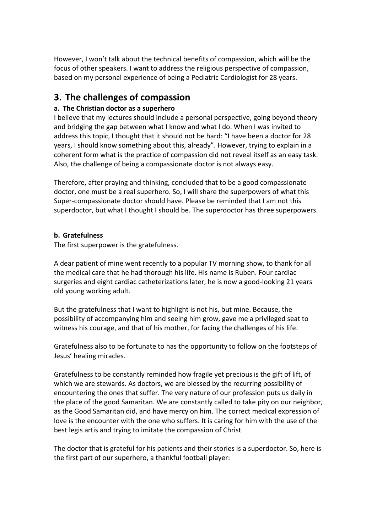However, I won't talk about the technical benefits of compassion, which will be the focus of other speakers. I want to address the religious perspective of compassion, based on my personal experience of being a Pediatric Cardiologist for 28 years.

## **3. The challenges of compassion**

### **a. The Christian doctor as a superhero**

I believe that my lectures should include a personal perspective, going beyond theory and bridging the gap between what I know and what I do. When I was invited to address this topic, I thought that it should not be hard: "I have been a doctor for 28 years, I should know something about this, already". However, trying to explain in a coherent form what is the practice of compassion did not reveal itself as an easy task. Also, the challenge of being a compassionate doctor is not always easy.

Therefore, after praying and thinking, concluded that to be a good compassionate doctor, one must be a real superhero. So, I will share the superpowers of what this Super-compassionate doctor should have. Please be reminded that I am not this superdoctor, but what I thought I should be. The superdoctor has three superpowers.

### **b. Gratefulness**

The first superpower is the gratefulness.

A dear patient of mine went recently to a popular TV morning show, to thank for all the medical care that he had thorough his life. His name is Ruben. Four cardiac surgeries and eight cardiac catheterizations later, he is now a good-looking 21 years old young working adult.

But the gratefulness that I want to highlight is not his, but mine. Because, the possibility of accompanying him and seeing him grow, gave me a privileged seat to witness his courage, and that of his mother, for facing the challenges of his life.

Gratefulness also to be fortunate to has the opportunity to follow on the footsteps of Jesus' healing miracles.

Gratefulness to be constantly reminded how fragile yet precious is the gift of lift, of which we are stewards. As doctors, we are blessed by the recurring possibility of encountering the ones that suffer. The very nature of our profession puts us daily in the place of the good Samaritan. We are constantly called to take pity on our neighbor, as the Good Samaritan did, and have mercy on him. The correct medical expression of love is the encounter with the one who suffers. It is caring for him with the use of the best legis artis and trying to imitate the compassion of Christ.

The doctor that is grateful for his patients and their stories is a superdoctor. So, here is the first part of our superhero, a thankful football player: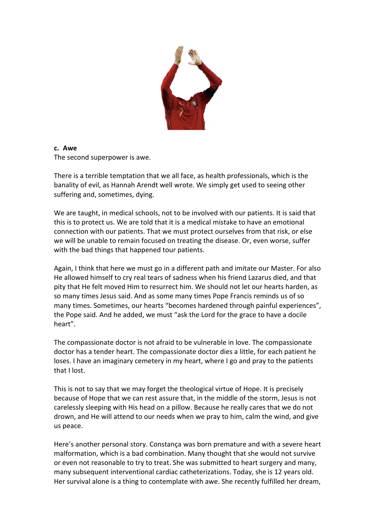

#### **c. Awe**

The second superpower is awe.

There is a terrible temptation that we all face, as health professionals, which is the banality of evil, as Hannah Arendt well wrote. We simply get used to seeing other suffering and, sometimes, dying.

We are taught, in medical schools, not to be involved with our patients. It is said that this is to protect us. We are told that it is a medical mistake to have an emotional connection with our patients. That we must protect ourselves from that risk, or else we will be unable to remain focused on treating the disease. Or, even worse, suffer with the bad things that happened tour patients.

Again, I think that here we must go in a different path and imitate our Master. For also He allowed himself to cry real tears of sadness when his friend Lazarus died, and that pity that He felt moved Him to resurrect him. We should not let our hearts harden, as so many times Jesus said. And as some many times Pope Francis reminds us of so many times. Sometimes, our hearts "becomes hardened through painful experiences", the Pope said. And he added, we must "ask the Lord for the grace to have a docile heart".

The compassionate doctor is not afraid to be vulnerable in love. The compassionate doctor has a tender heart. The compassionate doctor dies a little, for each patient he loses. I have an imaginary cemetery in my heart, where I go and pray to the patients that I lost.

This is not to say that we may forget the theological virtue of Hope. It is precisely because of Hope that we can rest assure that, in the middle of the storm, Jesus is not carelessly sleeping with His head on a pillow. Because he really cares that we do not drown, and He will attend to our needs when we pray to him, calm the wind, and give us peace.

Here's another personal story. Constança was born premature and with a severe heart malformation, which is a bad combination. Many thought that she would not survive or even not reasonable to try to treat. She was submitted to heart surgery and many, many subsequent interventional cardiac catheterizations. Today, she is 12 years old. Her survival alone is a thing to contemplate with awe. She recently fulfilled her dream,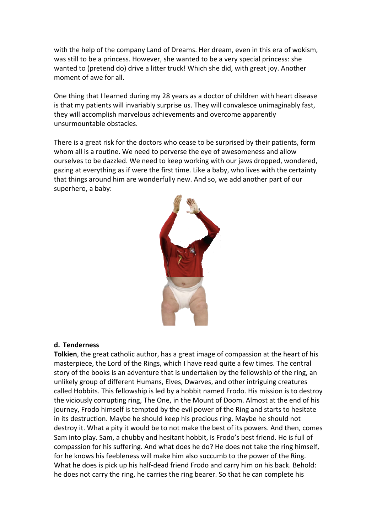with the help of the company Land of Dreams. Her dream, even in this era of wokism, was still to be a princess. However, she wanted to be a very special princess: she wanted to (pretend do) drive a litter truck! Which she did, with great joy. Another moment of awe for all.

One thing that I learned during my 28 years as a doctor of children with heart disease is that my patients will invariably surprise us. They will convalesce unimaginably fast, they will accomplish marvelous achievements and overcome apparently unsurmountable obstacles.

There is a great risk for the doctors who cease to be surprised by their patients, form whom all is a routine. We need to perverse the eye of awesomeness and allow ourselves to be dazzled. We need to keep working with our jaws dropped, wondered, gazing at everything as if were the first time. Like a baby, who lives with the certainty that things around him are wonderfully new. And so, we add another part of our superhero, a baby:



#### **d. Tenderness**

**Tolkien**, the great catholic author, has a great image of compassion at the heart of his masterpiece, the Lord of the Rings, which I have read quite a few times. The central story of the books is an adventure that is undertaken by the fellowship of the ring, an unlikely group of different Humans, Elves, Dwarves, and other intriguing creatures called Hobbits. This fellowship is led by a hobbit named Frodo. His mission is to destroy the viciously corrupting ring, The One, in the Mount of Doom. Almost at the end of his journey, Frodo himself is tempted by the evil power of the Ring and starts to hesitate in its destruction. Maybe he should keep his precious ring. Maybe he should not destroy it. What a pity it would be to not make the best of its powers. And then, comes Sam into play. Sam, a chubby and hesitant hobbit, is Frodo's best friend. He is full of compassion for his suffering. And what does he do? He does not take the ring himself, for he knows his feebleness will make him also succumb to the power of the Ring. What he does is pick up his half-dead friend Frodo and carry him on his back. Behold: he does not carry the ring, he carries the ring bearer. So that he can complete his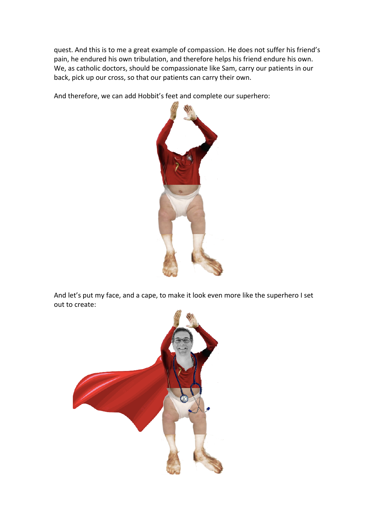quest. And this is to me a great example of compassion. He does not suffer his friend's pain, he endured his own tribulation, and therefore helps his friend endure his own. We, as catholic doctors, should be compassionate like Sam, carry our patients in our back, pick up our cross, so that our patients can carry their own.

And therefore, we can add Hobbit's feet and complete our superhero:



And let's put my face, and a cape, to make it look even more like the superhero I set out to create:

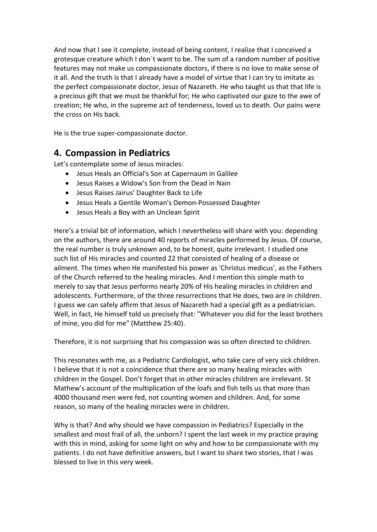And now that I see it complete, instead of being content, I realize that I conceived a grotesque creature which I don´t want to be. The sum of a random number of positive features may not make us compassionate doctors, if there is no love to make sense of it all. And the truth is that I already have a model of virtue that I can try to imitate as the perfect compassionate doctor, Jesus of Nazareth. He who taught us that that life is a precious gift that we must be thankful for; He who captivated our gaze to the awe of creation; He who, in the supreme act of tenderness, loved us to death. Our pains were the cross on His back.

He is the true super-compassionate doctor.

## **4. Compassion in Pediatrics**

Let's contemplate some of Jesus miracles:

- Jesus Heals an Official's Son at Capernaum in Galilee
- Jesus Raises a Widow's Son from the Dead in Nain
- Jesus Raises Jairus' Daughter Back to Life
- Jesus Heals a Gentile Woman's Demon-Possessed Daughter
- Jesus Heals a Boy with an Unclean Spirit

Here's a trivial bit of information, which I nevertheless will share with you: depending on the authors, there are around 40 reports of miracles performed by Jesus. Of course, the real number is truly unknown and, to be honest, quite irrelevant. I studied one such list of His miracles and counted 22 that consisted of healing of a disease or ailment. The times when He manifested his power as 'Christus medicus', as the Fathers of the Church referred to the healing miracles. And I mention this simple math to merely to say that Jesus performs nearly 20% of His healing miracles in children and adolescents. Furthermore, of the three resurrections that He does, two are in children. I guess we can safely affirm that Jesus of Nazareth had a special gift as a pediatrician. Well, in fact, He himself told us precisely that: "Whatever you did for the least brothers of mine, you did for me" (Matthew 25:40).

Therefore, it is not surprising that his compassion was so often directed to children.

This resonates with me, as a Pediatric Cardiologist, who take care of very sick children. I believe that it is not a coincidence that there are so many healing miracles with children in the Gospel. Don't forget that in other miracles children are irrelevant. St Mathew's account of the multiplication of the loafs and fish tells us that more than 4000 thousand men were fed, not counting women and children. And, for some reason, so many of the healing miracles were in children.

Why is that? And why should we have compassion in Pediatrics? Especially in the smallest and most frail of all, the unborn? I spent the last week in my practice praying with this in mind, asking for some light on why and how to be compassionate with my patients. I do not have definitive answers, but I want to share two stories, that I was blessed to live in this very week.